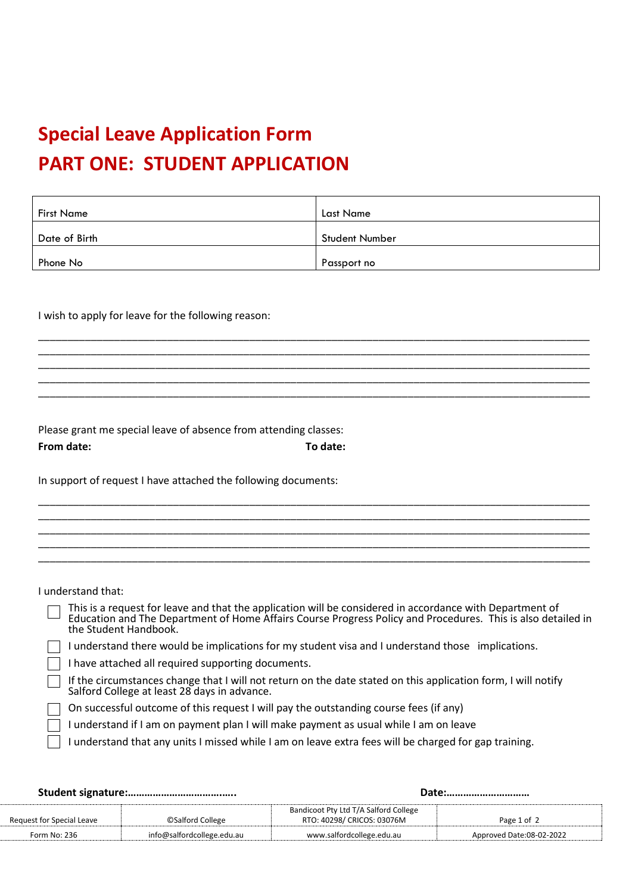## **Special Leave Application Form PART ONE: STUDENT APPLICATION**

| <b>First Name</b> | <b>Last Name</b>      |
|-------------------|-----------------------|
| Date of Birth     | <b>Student Number</b> |
| Phone No          | Passport no           |

\_\_\_\_\_\_\_\_\_\_\_\_\_\_\_\_\_\_\_\_\_\_\_\_\_\_\_\_\_\_\_\_\_\_\_\_\_\_\_\_\_\_\_\_\_\_\_\_\_\_\_\_\_\_\_\_\_\_\_\_\_\_\_\_\_\_\_\_\_\_\_\_\_\_\_\_\_\_\_\_\_\_\_\_\_\_\_\_\_\_\_\_\_\_ \_\_\_\_\_\_\_\_\_\_\_\_\_\_\_\_\_\_\_\_\_\_\_\_\_\_\_\_\_\_\_\_\_\_\_\_\_\_\_\_\_\_\_\_\_\_\_\_\_\_\_\_\_\_\_\_\_\_\_\_\_\_\_\_\_\_\_\_\_\_\_\_\_\_\_\_\_\_\_\_\_\_\_\_\_\_\_\_\_\_\_\_\_\_ \_\_\_\_\_\_\_\_\_\_\_\_\_\_\_\_\_\_\_\_\_\_\_\_\_\_\_\_\_\_\_\_\_\_\_\_\_\_\_\_\_\_\_\_\_\_\_\_\_\_\_\_\_\_\_\_\_\_\_\_\_\_\_\_\_\_\_\_\_\_\_\_\_\_\_\_\_\_\_\_\_\_\_\_\_\_\_\_\_\_\_\_\_\_ \_\_\_\_\_\_\_\_\_\_\_\_\_\_\_\_\_\_\_\_\_\_\_\_\_\_\_\_\_\_\_\_\_\_\_\_\_\_\_\_\_\_\_\_\_\_\_\_\_\_\_\_\_\_\_\_\_\_\_\_\_\_\_\_\_\_\_\_\_\_\_\_\_\_\_\_\_\_\_\_\_\_\_\_\_\_\_\_\_\_\_\_\_\_ \_\_\_\_\_\_\_\_\_\_\_\_\_\_\_\_\_\_\_\_\_\_\_\_\_\_\_\_\_\_\_\_\_\_\_\_\_\_\_\_\_\_\_\_\_\_\_\_\_\_\_\_\_\_\_\_\_\_\_\_\_\_\_\_\_\_\_\_\_\_\_\_\_\_\_\_\_\_\_\_\_\_\_\_\_\_\_\_\_\_\_\_\_\_

\_\_\_\_\_\_\_\_\_\_\_\_\_\_\_\_\_\_\_\_\_\_\_\_\_\_\_\_\_\_\_\_\_\_\_\_\_\_\_\_\_\_\_\_\_\_\_\_\_\_\_\_\_\_\_\_\_\_\_\_\_\_\_\_\_\_\_\_\_\_\_\_\_\_\_\_\_\_\_\_\_\_\_\_\_\_\_\_\_\_\_\_\_\_ \_\_\_\_\_\_\_\_\_\_\_\_\_\_\_\_\_\_\_\_\_\_\_\_\_\_\_\_\_\_\_\_\_\_\_\_\_\_\_\_\_\_\_\_\_\_\_\_\_\_\_\_\_\_\_\_\_\_\_\_\_\_\_\_\_\_\_\_\_\_\_\_\_\_\_\_\_\_\_\_\_\_\_\_\_\_\_\_\_\_\_\_\_\_ \_\_\_\_\_\_\_\_\_\_\_\_\_\_\_\_\_\_\_\_\_\_\_\_\_\_\_\_\_\_\_\_\_\_\_\_\_\_\_\_\_\_\_\_\_\_\_\_\_\_\_\_\_\_\_\_\_\_\_\_\_\_\_\_\_\_\_\_\_\_\_\_\_\_\_\_\_\_\_\_\_\_\_\_\_\_\_\_\_\_\_\_\_\_ \_\_\_\_\_\_\_\_\_\_\_\_\_\_\_\_\_\_\_\_\_\_\_\_\_\_\_\_\_\_\_\_\_\_\_\_\_\_\_\_\_\_\_\_\_\_\_\_\_\_\_\_\_\_\_\_\_\_\_\_\_\_\_\_\_\_\_\_\_\_\_\_\_\_\_\_\_\_\_\_\_\_\_\_\_\_\_\_\_\_\_\_\_\_ \_\_\_\_\_\_\_\_\_\_\_\_\_\_\_\_\_\_\_\_\_\_\_\_\_\_\_\_\_\_\_\_\_\_\_\_\_\_\_\_\_\_\_\_\_\_\_\_\_\_\_\_\_\_\_\_\_\_\_\_\_\_\_\_\_\_\_\_\_\_\_\_\_\_\_\_\_\_\_\_\_\_\_\_\_\_\_\_\_\_\_\_\_\_

I wish to apply for leave for the following reason:

Please grant me special leave of absence from attending classes: **From date: To date:**

In support of request I have attached the following documents:

I understand that:

This is a request for leave and that the application will be considered in accordance with Department of Education and The Department of Home Affairs Course Progress Policy and Procedures. This is also detailed in the Student Handbook.  $\Box$  I understand there would be implications for my student visa and I understand those implications.  $\Box$  I have attached all required supporting documents. If the circumstances change that I will not return on the date stated on this application form, I will notify Salford College at least 28 days in advance. On successful outcome of this request I will pay the outstanding course fees (if any) I understand if I am on payment plan I will make payment as usual while I am on leave I understand that any units I missed while I am on leave extra fees will be charged for gap training.

|                           |                            | Date:                                                               |                          |
|---------------------------|----------------------------|---------------------------------------------------------------------|--------------------------|
| Request for Special Leave | <b>OSalford College</b>    | Bandicoot Pty Ltd T/A Salford College<br>RTO: 40298/ CRICOS: 03076M | Page 1 of 2              |
| Form No: 236              | info@salfordcollege.edu.au | www.salfordcollege.edu.au                                           | Approved Date:08-02-2022 |